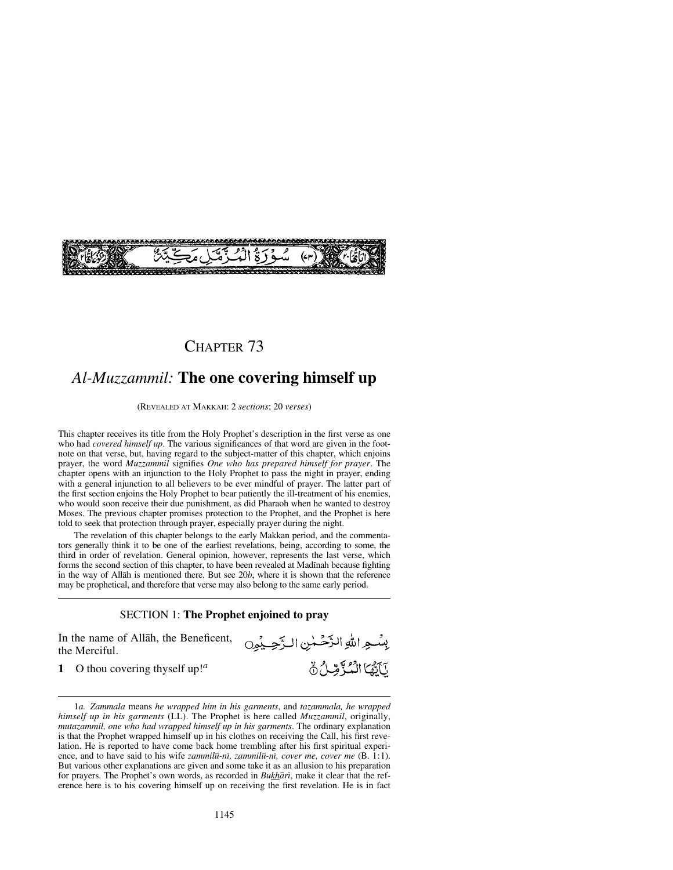

## CHAPTER 73

## *Al-Muzzammil:* **The one covering himself up**

(REVEALED AT MAKKAH: 2 *sections*; 20 *verses*)

This chapter receives its title from the Holy Prophet's description in the first verse as one who had *covered himself up*. The various significances of that word are given in the footnote on that verse, but, having regard to the subject-matter of this chapter, which enjoins prayer, the word *Muzzammil* signifies *One who has prepared himself for prayer*. The chapter opens with an injunction to the Holy Prophet to pass the night in prayer, ending with a general injunction to all believers to be ever mindful of prayer. The latter part of the first section enjoins the Holy Prophet to bear patiently the ill-treatment of his enemies, who would soon receive their due punishment, as did Pharaoh when he wanted to destroy Moses. The previous chapter promises protection to the Prophet, and the Prophet is here told to seek that protection through prayer, especially prayer during the night.

The revelation of this chapter belongs to the early Makkan period, and the commentators generally think it to be one of the earliest revelations, being, according to some, the third in order of revelation. General opinion, however, represents the last verse, which forms the second section of this chapter, to have been revealed at Madinah because fighting in the way of Allåh is mentioned there. But see 20*b*, where it is shown that the reference may be prophetical, and therefore that verse may also belong to the same early period.

#### SECTION 1: **The Prophet enjoined to pray**

بِسُعِ اللهِ الزَّحْسٰنِ الرَّحِيْمِنِ

يَآيَّهُا الْمُؤَمِّلُ نَ

In the name of Allåh, the Beneficent, the Merciful.

**1** O thou covering thyself up!*<sup>a</sup>*

<sup>1</sup>*a. Zammala* means *he wrapped him in his garments*, and *tazammala, he wrapped himself up in his garments* (LL). The Prophet is here called *Muzzammil*, originally, *mutazammil, one who had wrapped himself up in his garments*. The ordinary explanation is that the Prophet wrapped himself up in his clothes on receiving the Call, his first revelation. He is reported to have come back home trembling after his first spiritual experience, and to have said to his wife *zammil∂-nß, zammil∂-nß, cover me, cover me* (B. 1:1). But various other explanations are given and some take it as an allusion to his preparation for prayers. The Prophet's own words, as recorded in *Bukhārī*, make it clear that the reference here is to his covering himself up on receiving the first revelation. He is in fact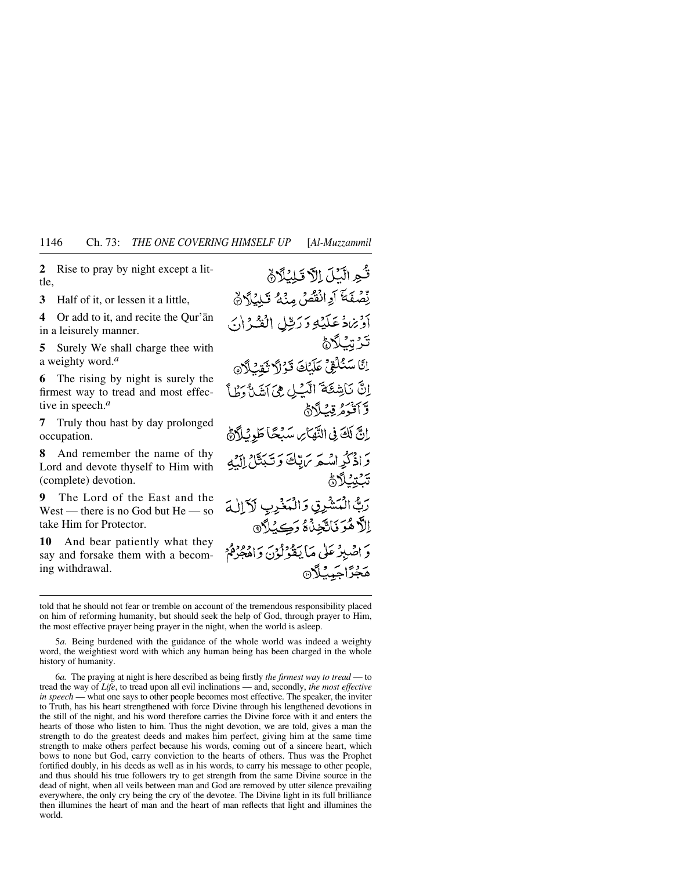**2** Rise to pray by night except a little,

**3** Half of it, or lessen it a little,

**4** Or add to it, and recite the Qur'ån in a leisurely manner.

**5** Surely We shall charge thee with a weighty word.*<sup>a</sup>*

**6** The rising by night is surely the firmest way to tread and most effective in speech.*<sup>a</sup>*

**7** Truly thou hast by day prolonged occupation.

**8** And remember the name of thy Lord and devote thyself to Him with (complete) devotion.

**9** The Lord of the East and the West — there is no God but He — so take Him for Protector.

**10** And bear patiently what they say and forsake them with a becoming withdrawal.

ثُوالَّيْلَ إِلَّا قَلِيْلًانَّ لِّصْفَةَ أَوِانْقُصُ مِنْهُ تَلِيْلًا فَي أَوْيَرَادُ عَلَيْهِ وَرَبِّيلِ الْفُدْ إِنِّي ػۯؾٮ۠ڷٲۿ اِنَّا سَنُلُقِيَّ عَلَيْكَ قَرْلاً ثَقِيْلاً @ اِنَّ نَاشِئَةَ الَّيْلِ هِيَ اَشَنَّ وَطَأَ وَّ أَقْدَمُ قِبْلاً أَنَّ إِنَّ لَكَ فِي النَّهَائِ سَبْحًا طَوِيْلَاَنَّ وَإِذْكُرِامُهُمْ يَرَاتِكَ وَتَبَدَّلْ إِلَيْهِ ؾؘػؾػڷٲۿ رَبُّ الْمَشْرِقِ وَالْمَذْرِبِ لَأَإِلٰهَ إلَّا هُوَ فَأَتَّحْنُاهُ دَڪِيۡبِٱ۞ وَ اصْبِرْ عَلَى مَا يَقُوْلُوْنَ وَاهْجُرْمُ **هَجْزَاجَيْنَ**لَا

told that he should not fear or tremble on account of the tremendous responsibility placed on him of reforming humanity, but should seek the help of God, through prayer to Him, the most effective prayer being prayer in the night, when the world is asleep.

5*a.* Being burdened with the guidance of the whole world was indeed a weighty word, the weightiest word with which any human being has been charged in the whole history of humanity.

6*a.* The praying at night is here described as being firstly *the firmest way to tread* — to tread the way of *Life*, to tread upon all evil inclinations — and, secondly, *the most effective in speech* — what one says to other people becomes most effective. The speaker, the inviter to Truth, has his heart strengthened with force Divine through his lengthened devotions in the still of the night, and his word therefore carries the Divine force with it and enters the hearts of those who listen to him. Thus the night devotion, we are told, gives a man the strength to do the greatest deeds and makes him perfect, giving him at the same time strength to make others perfect because his words, coming out of a sincere heart, which bows to none but God, carry conviction to the hearts of others. Thus was the Prophet fortified doubly, in his deeds as well as in his words, to carry his message to other people, and thus should his true followers try to get strength from the same Divine source in the dead of night, when all veils between man and God are removed by utter silence prevailing everywhere, the only cry being the cry of the devotee. The Divine light in its full brilliance then illumines the heart of man and the heart of man reflects that light and illumines the world.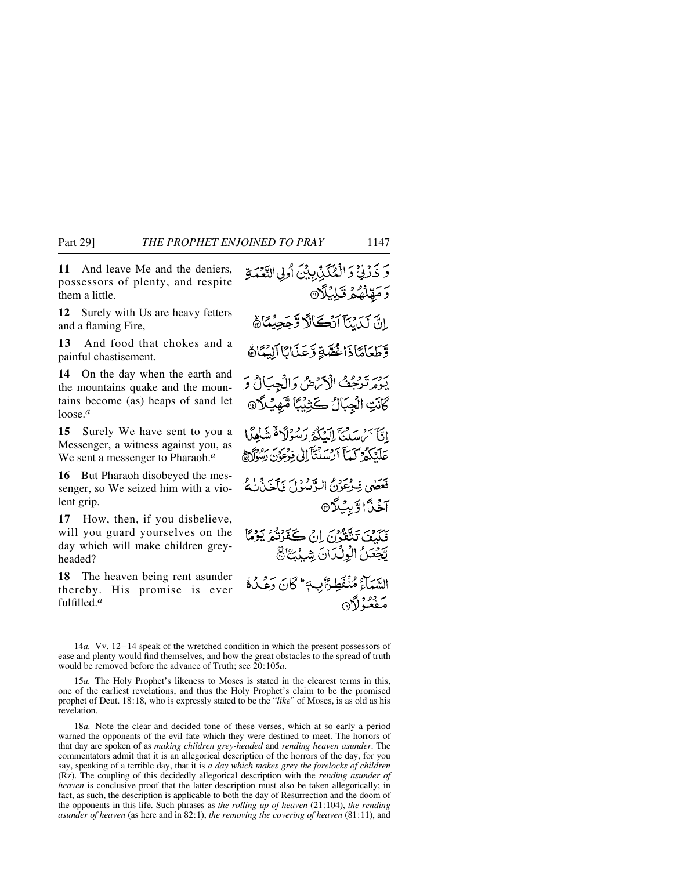**11** And leave Me and the deniers, possessors of plenty, and respite them a little.

**12** Surely with Us are heavy fetters and a flaming Fire,

**13** And food that chokes and a painful chastisement.

**14** On the day when the earth and the mountains quake and the mountains become (as) heaps of sand let loose.*<sup>a</sup>*

**15** Surely We have sent to you a Messenger, a witness against you, as We sent a messenger to Pharaoh.*<sup>a</sup>*

**16** But Pharaoh disobeyed the messenger, so We seized him with a violent grip.

**17** How, then, if you disbelieve, will you guard yourselves on the day which will make children greyheaded?

**18** The heaven being rent asunder thereby. His promise is ever fulfilled.*<sup>a</sup>*

وَ ذَرْنِي وَالْعُكَنِّ بِيْنَ أُولِي النَّعْمَةِ وَمَهْلُهُمُ تَبْلِيْلًا اِنَّ لَيْدَيْنَا آَيْكَالًا وَّجَجِيْعَاَنَّ وَّطَعَاهَاذَا خُصَّةِ وَّعَذَانَا آلِيُمَاَنَّ يَوْمَرْ تَدْحِمْنُ الْأَكْرَضُ وَالْجِبَالُ وَ كَانَتِ الْجِبَالُ كَثِيْبًا مَّهِيْلاَ@ اتَّآ أَيْرَسَلْنَآ إِلَيْكُمُ رَسُوۡلَا ۖ شَاٰهِمَا عَلَّمْكَثُمُ كَمَآاً أَرْسَلْنَآ إِلَىٰ فِدْعَوۡنَ رَسُولَآ ﴾ فَعَصَى فِيدْعَوْنُ الرَّسُوْلَ فَأَخَذْنَٰهُ **آخَنَّ**ا وَّبِيُلَا® بِهَ بِرَوْسٍ يَدْفَعُونَ إِنِّي يَكْفَوْنُهُ يَوْمًا يَّجْعَلُ الْوِلْكَانَ شِّيْبَتَّا فَتَّ السَّمَآءُ مُنْفَطِينٌ بِ4 كَانَ وَعْبُ8ً سرورو دي.<br>مفعوذان

<sup>14</sup>*a.* Vv. 12–14 speak of the wretched condition in which the present possessors of ease and plenty would find themselves, and how the great obstacles to the spread of truth would be removed before the advance of Truth; see 20:105*a*.

<sup>15</sup>*a.* The Holy Prophet's likeness to Moses is stated in the clearest terms in this, one of the earliest revelations, and thus the Holy Prophet's claim to be the promised prophet of Deut. 18:18, who is expressly stated to be the "*like*" of Moses, is as old as his revelation.

<sup>18</sup>*a.* Note the clear and decided tone of these verses, which at so early a period warned the opponents of the evil fate which they were destined to meet. The horrors of that day are spoken of as *making children grey-headed* and *rending heaven asunder*. The commentators admit that it is an allegorical description of the horrors of the day, for you say, speaking of a terrible day, that it is *a day which makes grey the forelocks of children* (Rz). The coupling of this decidedly allegorical description with the *rending asunder of heaven* is conclusive proof that the latter description must also be taken allegorically; in fact, as such, the description is applicable to both the day of Resurrection and the doom of the opponents in this life. Such phrases as *the rolling up of heaven* (21:104), *the rending asunder of heaven* (as here and in 82:1), *the removing the covering of heaven* (81:11), and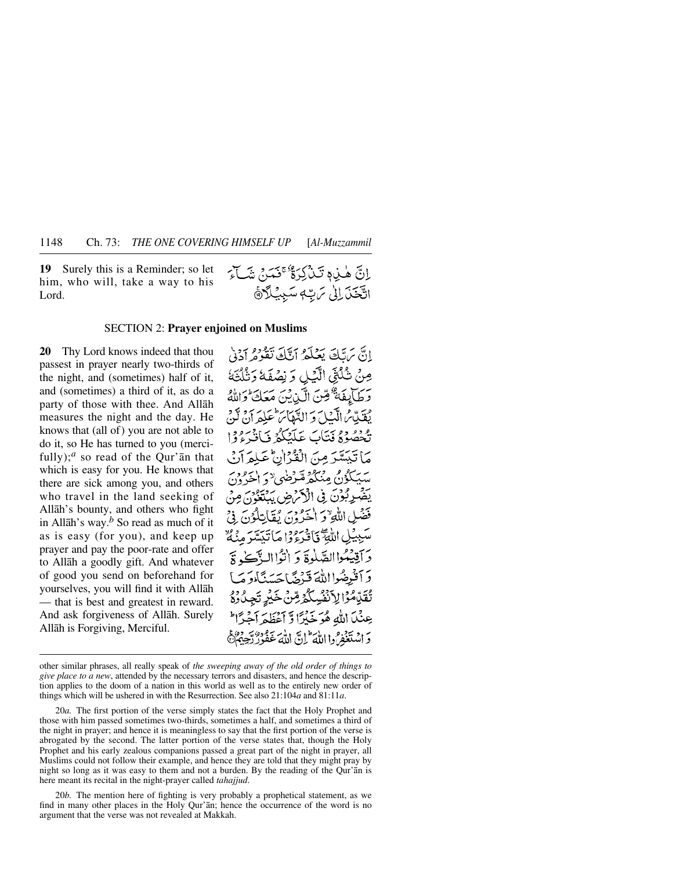**19** Surely this is a Reminder; so let him, who will, take a way to his Lord.

إِنَّ هٰذِهِ تَبْذُكِرَةٌ مَجْمَدَ بِنَسَاءَ اتَّحَنَ إِلَىٰ سَ بِّهِ سَبِيلَاَرَةَ

#### SECTION 2: **Prayer enjoined on Muslims**

**20** Thy Lord knows indeed that thou passest in prayer nearly two-thirds of the night, and (sometimes) half of it, and (sometimes) a third of it, as do a party of those with thee. And Allåh measures the night and the day. He knows that (all of) you are not able to do it, so He has turned to you (mercifully);<sup>*a*</sup> so read of the Qur'an that which is easy for you. He knows that there are sick among you, and others who travel in the land seeking of Allåh's bounty, and others who fight in Allåh's way.*<sup>b</sup>* So read as much of it as is easy (for you), and keep up prayer and pay the poor-rate and offer to Allåh a goodly gift. And whatever of good you send on beforehand for yourselves, you will find it with Allåh — that is best and greatest in reward. And ask forgiveness of Allåh. Surely Allåh is Forgiving, Merciful.

انَّ بِرَبَّكَ يَعْلَمُ أَيَّكَ تَقُوْمُ أَدْنِي مِنْ شُكْثَى الَّذِلِي وَ نِصْفَهُ وَنُلُثَةُ بِرَجِيَا بِيَ صَحْبَ الْكَيْدِيْنَ مَعَكَ وَاللَّهَ بِيَبِيَّةٍ مِّ الَّبِيْبِاسِ وَ الدَّهْيَاسَ عَبِيْهِ أَنْ لَهُ، يْعْصُوْهُ فِيئَابَ عَلَيْكُمْ فَبَانِيْرُوْدَا مَا تَيَسَّرَ مِنَ الْقُرْانِ عَبِلْهِ آنُ يېڭگۇن مېڭگە قىرضى «ئەلمىرۇن يَضْرِبُوْنَ فِي الْأَكْرَضِ يَنْتَغَوْنَ مِنْ فَضَلِ اللَّهِ ٌ وَ اٰخَيْرُوْنَ يُقَالِبَادُونَ سَبِيبُلِ اللَّهِ ۖ يَا دَرُودِ إِيمَاتَيِسَّدَ مِنْهُ ۚ دَ آقِيْتُواالصَّلُوةَ دَ اٰتَّوَاالِ آَڪَ تَزَ وَأَقْبِضُوااللَّهَ قَبْرَهُمَّا حَسَنَنَّاهِ وَ مَبِيَا تْقَدِّمُوْا لِأَنْفُسِكُمْ مِّنْ خَيْرِ تَجِ عِنْيَا اللَّهُ هُوَ خَبْرًا وِّ أَعْظَمَ أَجْرًا ۖ دَ الْمُتَغَفّْرُوا اللَّهَ ۖ إِنَّ اللَّهَ عَفُودٌ رَّجِهِهِمْ ۖ وَلَا يَجْهَزُونَ

other similar phrases, all really speak of *the sweeping away of the old order of things to give place to a new*, attended by the necessary terrors and disasters, and hence the description applies to the doom of a nation in this world as well as to the entirely new order of things which will be ushered in with the Resurrection. See also 21:104*a* and 81:11*a*.

20*a.* The first portion of the verse simply states the fact that the Holy Prophet and those with him passed sometimes two-thirds, sometimes a half, and sometimes a third of the night in prayer; and hence it is meaningless to say that the first portion of the verse is abrogated by the second. The latter portion of the verse states that, though the Holy Prophet and his early zealous companions passed a great part of the night in prayer, all Muslims could not follow their example, and hence they are told that they might pray by night so long as it was easy to them and not a burden. By the reading of the Qur'ån is here meant its recital in the night-prayer called *tahajjud*.

20*b.* The mention here of fighting is very probably a prophetical statement, as we find in many other places in the Holy Qur'ån; hence the occurrence of the word is no argument that the verse was not revealed at Makkah.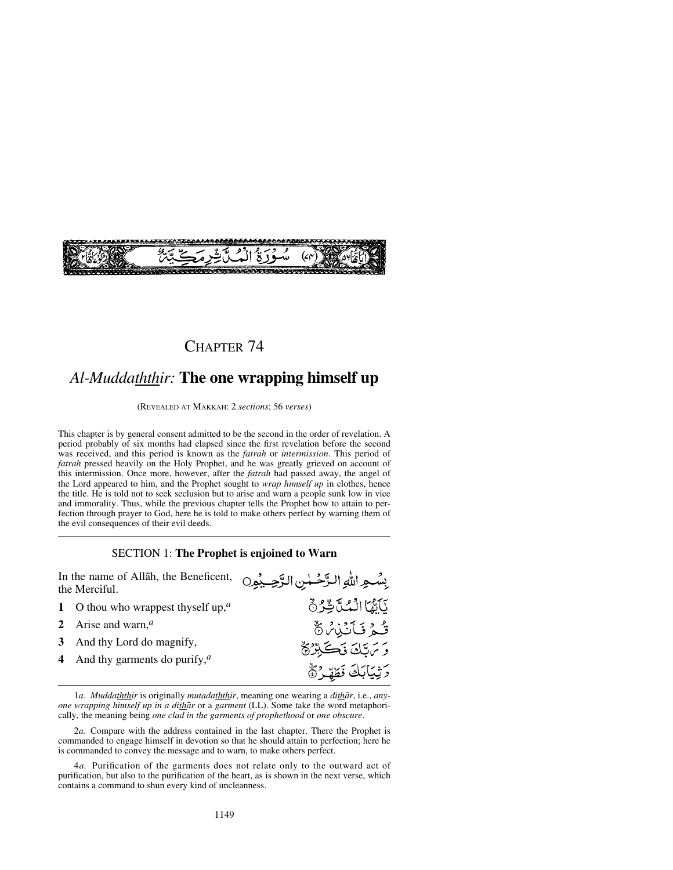

## CHAPTER 74

# *Al-Muddaththir:* **The one wrapping himself up**

(REVEALED AT MAKKAH: 2 *sections*; 56 *verses*)

This chapter is by general consent admitted to be the second in the order of revelation. A period probably of six months had elapsed since the first revelation before the second was received, and this period is known as the *fatrah* or *intermission*. This period of *fatrah* pressed heavily on the Holy Prophet, and he was greatly grieved on account of this intermission. Once more, however, after the *fatrah* had passed away, the angel of the Lord appeared to him, and the Prophet sought to *wrap himself up* in clothes, hence the title. He is told not to seek seclusion but to arise and warn a people sunk low in vice and immorality. Thus, while the previous chapter tells the Prophet how to attain to perfection through prayer to God, here he is told to make others perfect by warning them of the evil consequences of their evil deeds.

### SECTION 1: **The Prophet is enjoined to Warn**

| In the name of Allah, the Beneficent, وسُحِراتلهِ التَّرْضِيْهِرِ In the name of Allah, the Beneficent,<br>the Merciful. |                                                           |                                                      |
|--------------------------------------------------------------------------------------------------------------------------|-----------------------------------------------------------|------------------------------------------------------|
|                                                                                                                          | O thou who wrappest thyself up, <sup><math>a</math></sup> | كَأَمَّمَا الْمُدَّتِّرُهُ                           |
|                                                                                                                          | 2 Arise and warn, $a$                                     | <b>َ قُوْ فَأَنَّبْنَ</b> $\%$                       |
| 3                                                                                                                        | And thy Lord do magnify,                                  | وَتَرَسَّكَ فَكَبِيِّرْةٌ<br>دَيْيَابَكَ فَطَهَّرٌ ۞ |
|                                                                                                                          | 4 And thy garments do purify, $^{\alpha}$                 |                                                      |

1*a. Muddaththir* is originally *mutadaththir*, meaning one wearing a *dithår*, i.e., *anyone wrapping himself up in a dithår* or a *garment* (LL). Some take the word metaphorically, the meaning being *one clad in the garments of prophethood* or *one obscure*.

<sup>2</sup>*a.* Compare with the address contained in the last chapter. There the Prophet is commanded to engage himself in devotion so that he should attain to perfection; here he is commanded to convey the message and to warn, to make others perfect.

<sup>4</sup>*a.* Purification of the garments does not relate only to the outward act of purification, but also to the purification of the heart, as is shown in the next verse, which contains a command to shun every kind of uncleanness.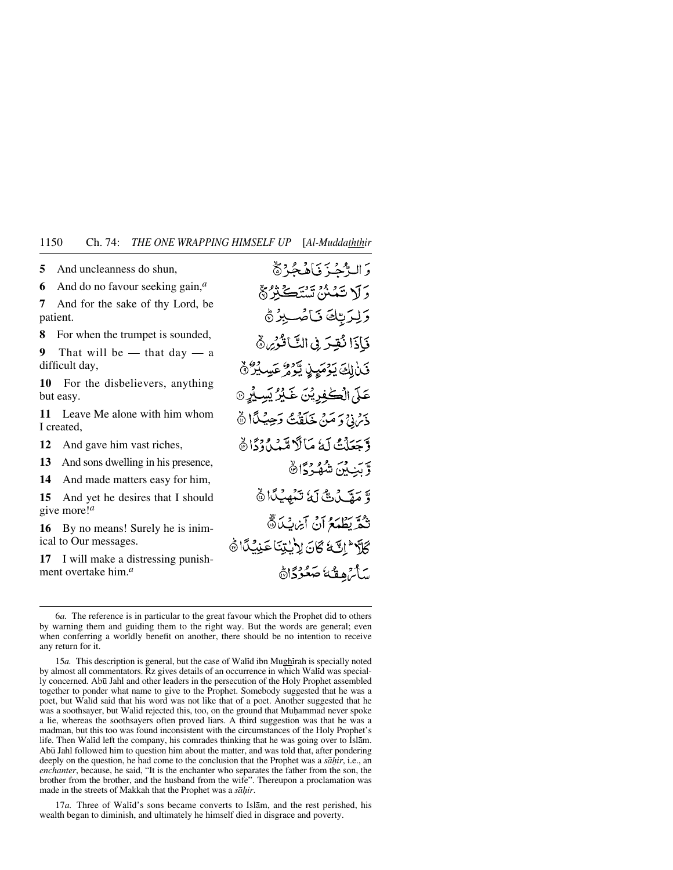**5** And uncleanness do shun,

**6** And do no favour seeking gain,*<sup>a</sup>*

**7** And for the sake of thy Lord, be patient.

**8** For when the trumpet is sounded,

**9** That will be — that day — a difficult day,

**10** For the disbelievers, anything but easy.

**11** Leave Me alone with him whom I created,

**12** And gave him vast riches,

**13** And sons dwelling in his presence,

**14** And made matters easy for him,

**15** And yet he desires that I should give more!*<sup>a</sup>*

**16** By no means! Surely he is inimical to Our messages.

**17** I will make a distressing punishment overtake him.*<sup>a</sup>*

وَ البَّاحُيَّ وَبَاهُ جُبْرٌ ۞ وَلَا تَمَنْنُ تَسْتَكَبِّرُهُمْ وَيْدَبِّكَ نَامُبِيرُ ﴾ فَإِذَا نُقِيَرَ فِي التَّاقُوْمِ ﴾ قَنْ لِكَ يَوْمَيِنِ يَّوْمُ عَسِيْدُ وَ عَلَى الْكُفِرِيْنَ غَيْرُ يَسِيْرِ @ ذِينَ دَمَنْ خَلَقْتُ دَحِيْكًا ﴾ وَّجَعَلْتُ لَهُ مَالَا مِّيْدِ، دَارَدَا وَّ بَيْبِكِنَ شُهْبِرْدًا۞ وَّ مَقَّىنَ ثَمَّ تَنْهَيْكَا ٢ تَمَّ يَطْمَعُ آنَ آيز بِّكَ نَّ 6 الكنية تتن لا ت كان الم سَأَيْرُهِ فَثَلَ صَعُوْدًاهُ

15*a*. This description is general, but the case of Walid ibn Mughirah is specially noted by almost all commentators. Rz gives details of an occurrence in which Walßd was specially concerned. Ab∂ Jahl and other leaders in the persecution of the Holy Prophet assembled together to ponder what name to give to the Prophet. Somebody suggested that he was a poet, but Walßd said that his word was not like that of a poet. Another suggested that he was a soothsayer, but Walid rejected this, too, on the ground that Muhammad never spoke a lie, whereas the soothsayers often proved liars. A third suggestion was that he was a madman, but this too was found inconsistent with the circumstances of the Holy Prophet's life. Then Walid left the company, his comrades thinking that he was going over to Islām. Ab∂ Jahl followed him to question him about the matter, and was told that, after pondering deeply on the question, he had come to the conclusion that the Prophet was a *så√ir*, i.e., an *enchanter*, because, he said, "It is the enchanter who separates the father from the son, the brother from the brother, and the husband from the wife". Thereupon a proclamation was made in the streets of Makkah that the Prophet was a *så√ir*.

17*a*. Three of Walid's sons became converts to Islam, and the rest perished, his wealth began to diminish, and ultimately he himself died in disgrace and poverty.

<sup>6</sup>*a.* The reference is in particular to the great favour which the Prophet did to others by warning them and guiding them to the right way. But the words are general; even when conferring a worldly benefit on another, there should be no intention to receive any return for it.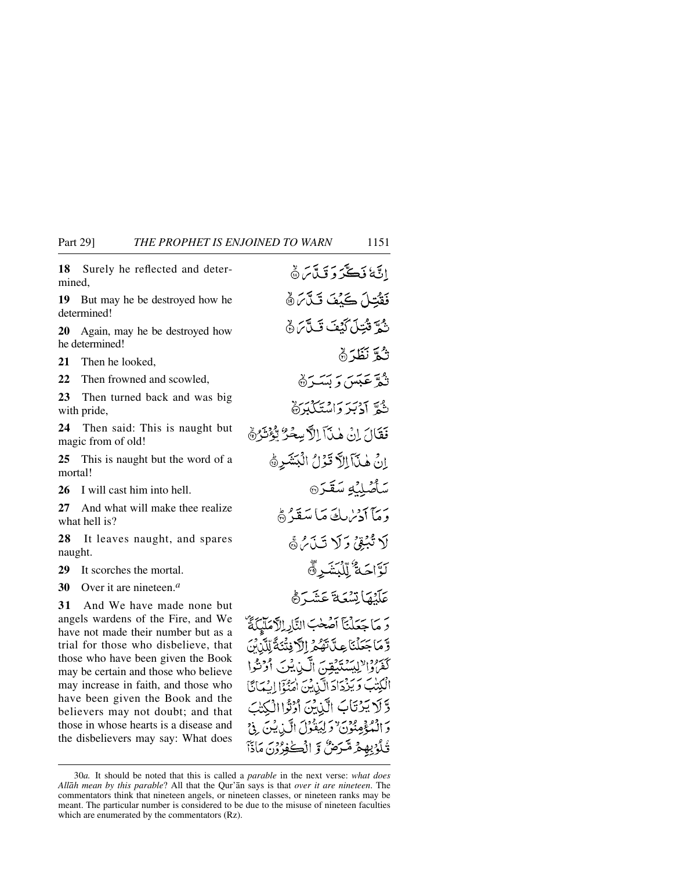**18** Surely he reflected and determined,

**19** But may he be destroyed how he determined!

**20** Again, may he be destroyed how he determined!

**21** Then he looked,

**22** Then frowned and scowled,

**23** Then turned back and was big with pride,

**24** Then said: This is naught but magic from of old!

**25** This is naught but the word of a mortal!

**26** I will cast him into hell.

**27** And what will make thee realize what hell is?

**28** It leaves naught, and spares naught.

**29** It scorches the mortal.

**30** Over it are nineteen.*<sup>a</sup>*

**31** And We have made none but angels wardens of the Fire, and We have not made their number but as a trial for those who disbelieve, that those who have been given the Book may be certain and those who believe may increase in faith, and those who have been given the Book and the believers may not doubt; and that those in whose hearts is a disease and the disbelievers may say: What does

اتَّةُ فَكَّرَ دَ قَبَّاسَ ۞ فَقْتِلَ كَيْفَ تَكَّابَرُ ۞ ثَ وَيُتِلَىٰ كَنْفَ قَبِيلاً مِنْ وَيُ ثَّكَّةً نَظَّرَ ۞ نثق عَبَسَ دَ بَسَيْرَةٌ شُوَّ آدْبَرَ وَاسْتَكْبَرَة فَقَالَ إِنْ هٰذَآ إِلاَّ سِعْرٌ تُوْثَرُهُمْ انٌ هٰذَآ اللَّا قَوْلُ الْبَشَرِهُ سَأَصْلِنَّهِ سَقَرَ® يبمآ أدساك مكاسَقَدْرَه لَا تُبْقِئُ وَلَا تَبِذَبُرُهُمْ لَوَّاحَةُ لِّلْكَتَنَدِ ۞ عَلَيْهَا تِسْعَةَ عَشَيَّةً وَ مَا جَعَلْنَا آصَٰحٰبَ النَّارِ الْآمَلَيْكَةُ وَّمَاجَعَلْنَاعِيَّاتَهُمُّ الَّافِتْنَةُ لِّلَّأَنِّنَ كَفَرُوْالْإِلِيْهَ يَتَبِيْقِينَ الَّيْنِ يُنِيَ أَوْنَ الْكِتَٰبَ وَيَزْدَادَ الَّذِيْنَ اٰمِنُّوۡٓا إِيۡمَانَّا وَّلَا يَرْتَابَ الَّذِيْنَ أَرْثَرَاالْكِتْبَ وَ الْمُؤْمِنُوْنَ وَلِيَقُوْلَ الَّذِينَ فِيَ قُلُوْبِهِمْ شَّرَضَّ وَ الْكَوْرُوْنَ مَاذَاً

<sup>30</sup>*a.* It should be noted that this is called a *parable* in the next verse: *what does Allåh mean by this parable*? All that the Qur'ån says is that *over it are nineteen*. The commentators think that nineteen angels, or nineteen classes, or nineteen ranks may be meant. The particular number is considered to be due to the misuse of nineteen faculties which are enumerated by the commentators (Rz).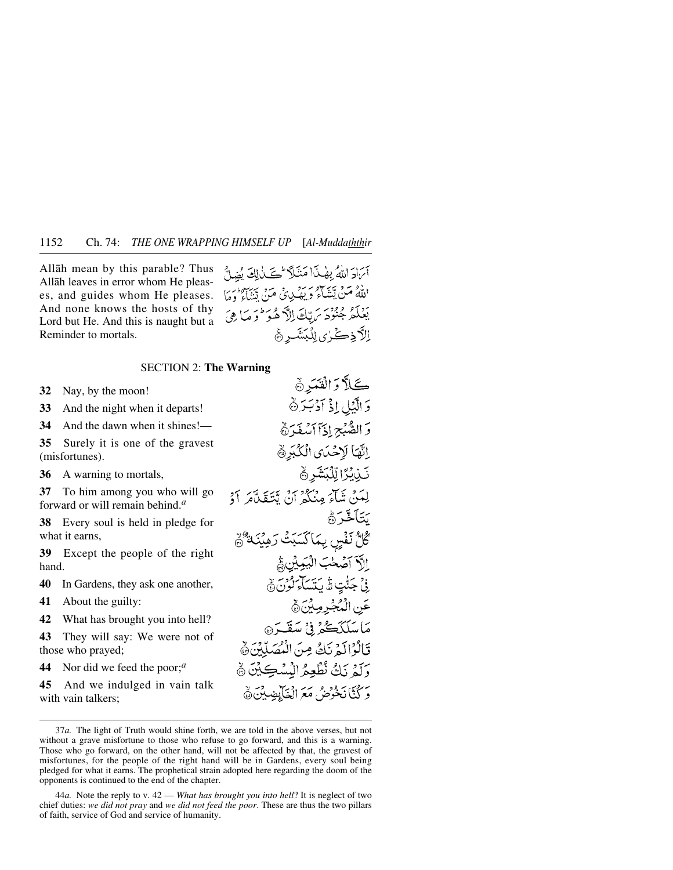Allåh mean by this parable? Thus Allåh leaves in error whom He pleases, and guides whom He pleases. And none knows the hosts of thy Lord but He. And this is naught but a Reminder to mortals.

آئرادَ اللَّهُ بِهٰذَا مَنْلَاً تَكَذَٰلِكَ نُضاحٌ اللَّهُ مَنْ يَتَنَاءُ وَيَصْدِئُ مَنْ يَتَنَاءُ وَمَا بَغِلْمُ جُنُودَ يَ بِّكَ إِلَّهٌ هُوَ لَمْ حَلَّ إلاَّذِكُمْ مِنْ يِلْبَنِّنَسِرِ ﴾

#### SECTION 2: **The Warning**

**32** Nay, by the moon!

**33** And the night when it departs!

**34** And the dawn when it shines!—

**35** Surely it is one of the gravest (misfortunes).

**36** A warning to mortals,

**37** To him among you who will go forward or will remain behind.*<sup>a</sup>*

**38** Every soul is held in pledge for what it earns,

**39** Except the people of the right hand.

**40** In Gardens, they ask one another,

**41** About the guilty:

**42** What has brought you into hell?

**43** They will say: We were not of those who prayed;

**44** Nor did we feed the poor;*<sup>a</sup>*

**45** And we indulged in vain talk with vain talkers;

كَلَّا وَالْقَمَرْ ﴾ وَ الَّيۡلِ إِذۡ أَدۡبَدَ۞ وَ الصُّبْحِ إِذَآ أَسْفَدَةٌ اتَّهَا لِإِحْدَى الْكُبَرِ ﴾ نَبْ يُرًا لِّلْكَشَرِ ﴾ لِعَنْ شَآءَ مِنْكُمْ أَنْ تَتَقَلَّمَ أَوْ بَيَأَخَّيَ ٓ ڭَلَّ نَفْسٍ بِمَاكْسَيَتْ رَهِيْنَـهُ َهُمْ إلآدَ آصَّحْبَ الْبَيِّيِينِ ثُمَّ فِي جَنَّتٍ َةً يَتَسَاءَ كُوْنَ ﴾ عَنِ الْمُجْرِمِينَ۞ مَاسَلَكَڪُمْ فِيُ سَقَدَ۞ قَالَوْالَهُ نَكْ مِنَ الْمُصَلَّبْنَ ﴾ وَلَمْ نَكُ نُطْعِمُ الْمُسْكِيِّنَ ۞ يَ كُنَّانَخْوُضُ مَعَ انْغَابِضِينَ۞

44*a.* Note the reply to v. 42 — *What has brought you into hell*? It is neglect of two chief duties: *we did not pray* and *we did not feed the poor*. These are thus the two pillars of faith, service of God and service of humanity.

<sup>37</sup>*a.* The light of Truth would shine forth, we are told in the above verses, but not without a grave misfortune to those who refuse to go forward, and this is a warning. Those who go forward, on the other hand, will not be affected by that, the gravest of misfortunes, for the people of the right hand will be in Gardens, every soul being pledged for what it earns. The prophetical strain adopted here regarding the doom of the opponents is continued to the end of the chapter.